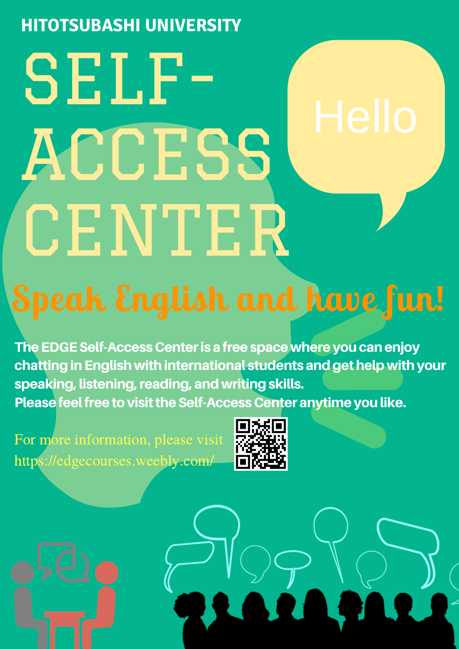### **HITOTSUBASHI UNIVERSITY**

# SELF-ACCESS CENTER

# Speak English and have fun!

The EDGE Self-Access Center is a free space where you can enjoy chatting in English with international students and get help with your speaking, listening, reading, and writing skills. Please feel free to visit the Self-Access Center anytime you like.

For more information, please visit https://edgecourses.weebly.com/